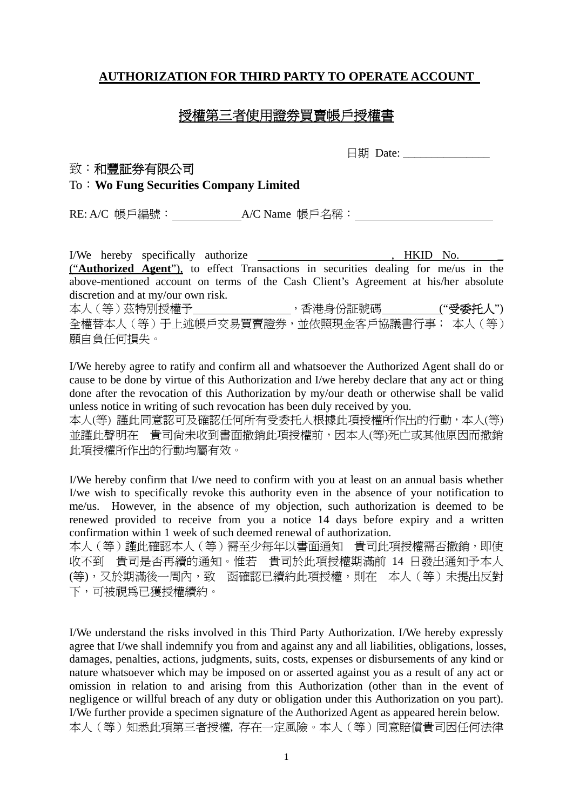## **AUTHORIZATION FOR THIRD PARTY TO OPERATE ACCOUNT**

# 授權第三者使用證券買賣帳戶授權書

日期 Date: \_\_\_\_\_\_\_\_\_\_\_\_\_\_\_

### 致:和豐証券有限公司

### To:**Wo Fung Securities Company Limited**

RE: A/C 帳戶編號: A/C Name 帳戶名稱:

I/We hereby specifically authorize , HKID No. \_ ("**Authorized Agent**"), to effect Transactions in securities dealing for me/us in the above-mentioned account on terms of the Cash Client's Agreement at his/her absolute discretion and at my/our own risk.

本人(等)茲特別授權予 ,香港身份証號碼 ("受委托人") 全權替本人(等)于上述帳戶交易買賣證券,並依照現金客戶協議書行事; 本人(等) 願自負任何損失。

I/We hereby agree to ratify and confirm all and whatsoever the Authorized Agent shall do or cause to be done by virtue of this Authorization and I/we hereby declare that any act or thing done after the revocation of this Authorization by my/our death or otherwise shall be valid unless notice in writing of such revocation has been duly received by you.

本人(等) 謹此同意認可及確認任何所有受委托人根據此項授權所作出的行動,本人(等) 並謹此聲明在 貴司尚未收到書面撤銷此項授權前,因本人(等)死亡或其他原因而撤銷 此項授權所作出的行動均屬有效。

I/We hereby confirm that I/we need to confirm with you at least on an annual basis whether I/we wish to specifically revoke this authority even in the absence of your notification to me/us. However, in the absence of my objection, such authorization is deemed to be renewed provided to receive from you a notice 14 days before expiry and a written confirmation within 1 week of such deemed renewal of authorization.

本人(等) 謹此確認本人(等)需至少每年以書面通知 貴司此項授權需否撤銷,即使 收不到 貴司是否再續的通知。惟若 貴司於此項授權期滿前 14 日發出通知予本人 (等),又於期滿後一周內,致 函確認已續約此項授權,則在 本人(等)未提出反對 下,可被視為已獲授權續約。

I/We understand the risks involved in this Third Party Authorization. I/We hereby expressly agree that I/we shall indemnify you from and against any and all liabilities, obligations, losses, damages, penalties, actions, judgments, suits, costs, expenses or disbursements of any kind or nature whatsoever which may be imposed on or asserted against you as a result of any act or omission in relation to and arising from this Authorization (other than in the event of negligence or willful breach of any duty or obligation under this Authorization on you part). I/We further provide a specimen signature of the Authorized Agent as appeared herein below. 本人(等)知悉此項第三者授權, 存在一定風險。本人(等)同意賠償貴司因任何法律